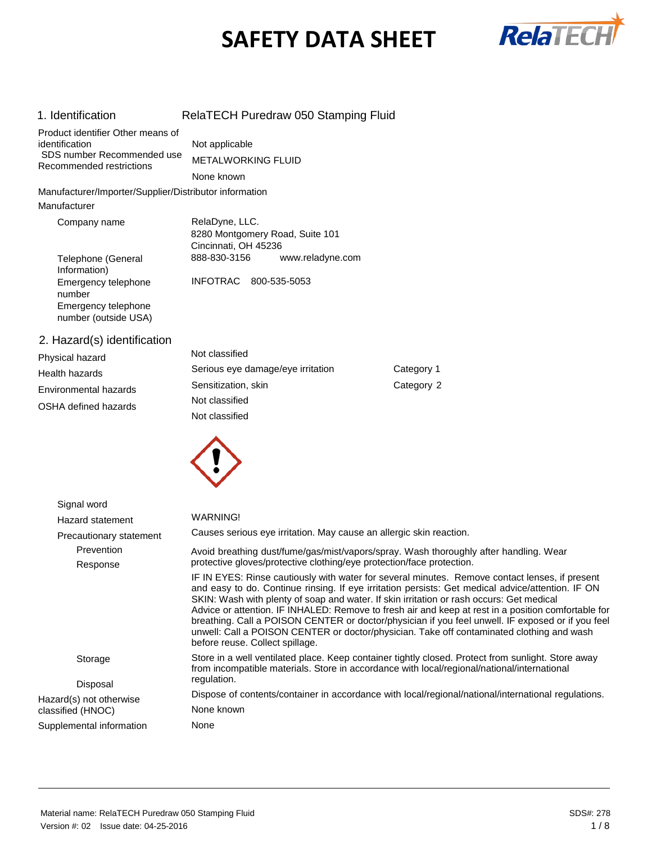# **SAFETY DATA SHEET**



| 1. Identification                                                                 | RelaTECH Puredraw 050 Stamping Fluid                                      |            |
|-----------------------------------------------------------------------------------|---------------------------------------------------------------------------|------------|
| Product identifier Other means of<br>identification<br>SDS number Recommended use | Not applicable<br><b>METALWORKING FLUID</b>                               |            |
| Recommended restrictions                                                          | None known                                                                |            |
| Manufacturer/Importer/Supplier/Distributor information                            |                                                                           |            |
| Manufacturer                                                                      |                                                                           |            |
| Company name                                                                      | RelaDyne, LLC.<br>8280 Montgomery Road, Suite 101<br>Cincinnati, OH 45236 |            |
| Telephone (General<br>Information)                                                | 888-830-3156<br>www.reladyne.com                                          |            |
| Emergency telephone<br>number<br>Emergency telephone<br>number (outside USA)      | <b>INFOTRAC</b><br>800-535-5053                                           |            |
| 2. Hazard(s) identification                                                       |                                                                           |            |
| Physical hazard                                                                   | Not classified                                                            |            |
| Health hazards                                                                    | Serious eye damage/eye irritation                                         | Category 1 |
| Environmental hazards                                                             | Sensitization, skin                                                       | Category 2 |
| OSHA defined hazards                                                              | Not classified                                                            |            |
|                                                                                   | Not classified                                                            |            |
|                                                                                   |                                                                           |            |
|                                                                                   |                                                                           |            |
|                                                                                   |                                                                           |            |
|                                                                                   |                                                                           |            |

| Signal word              |                                                                                                                                                                                                                                                                                                                                                                                                                                                                                                                                                                                                                                             |
|--------------------------|---------------------------------------------------------------------------------------------------------------------------------------------------------------------------------------------------------------------------------------------------------------------------------------------------------------------------------------------------------------------------------------------------------------------------------------------------------------------------------------------------------------------------------------------------------------------------------------------------------------------------------------------|
| Hazard statement         | WARNING!                                                                                                                                                                                                                                                                                                                                                                                                                                                                                                                                                                                                                                    |
| Precautionary statement  | Causes serious eye irritation. May cause an allergic skin reaction.                                                                                                                                                                                                                                                                                                                                                                                                                                                                                                                                                                         |
| Prevention               | Avoid breathing dust/fume/gas/mist/vapors/spray. Wash thoroughly after handling. Wear                                                                                                                                                                                                                                                                                                                                                                                                                                                                                                                                                       |
| Response                 | protective gloves/protective clothing/eye protection/face protection.                                                                                                                                                                                                                                                                                                                                                                                                                                                                                                                                                                       |
|                          | IF IN EYES: Rinse cautiously with water for several minutes. Remove contact lenses, if present<br>and easy to do. Continue rinsing. If eye irritation persists: Get medical advice/attention. IF ON<br>SKIN: Wash with plenty of soap and water. If skin irritation or rash occurs: Get medical<br>Advice or attention. IF INHALED: Remove to fresh air and keep at rest in a position comfortable for<br>breathing. Call a POISON CENTER or doctor/physician if you feel unwell. IF exposed or if you feel<br>unwell: Call a POISON CENTER or doctor/physician. Take off contaminated clothing and wash<br>before reuse. Collect spillage. |
| Storage                  | Store in a well ventilated place. Keep container tightly closed. Protect from sunlight. Store away<br>from incompatible materials. Store in accordance with local/regional/national/international                                                                                                                                                                                                                                                                                                                                                                                                                                           |
| Disposal                 | regulation.                                                                                                                                                                                                                                                                                                                                                                                                                                                                                                                                                                                                                                 |
| Hazard(s) not otherwise  | Dispose of contents/container in accordance with local/regional/national/international regulations.                                                                                                                                                                                                                                                                                                                                                                                                                                                                                                                                         |
| classified (HNOC)        | None known                                                                                                                                                                                                                                                                                                                                                                                                                                                                                                                                                                                                                                  |
| Supplemental information | None                                                                                                                                                                                                                                                                                                                                                                                                                                                                                                                                                                                                                                        |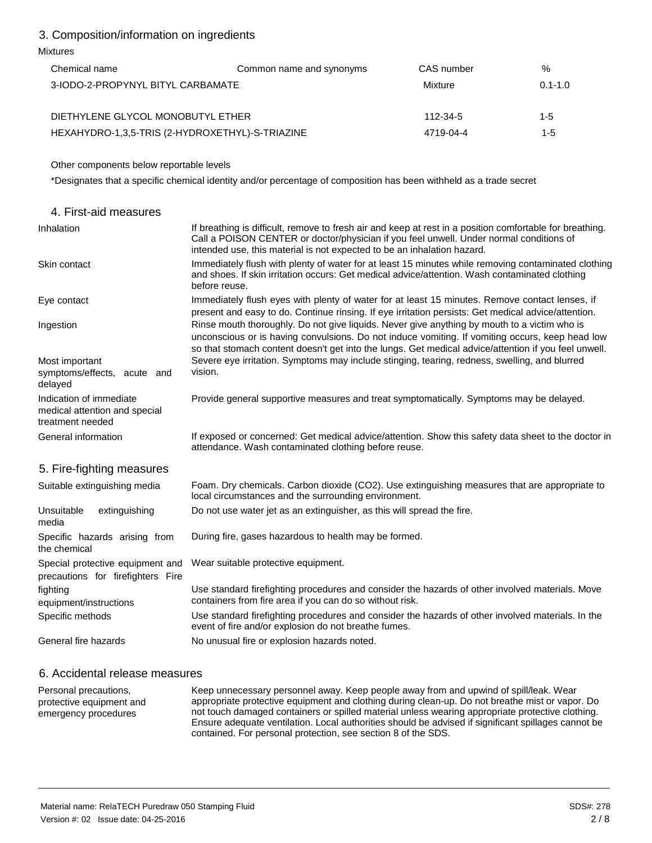### 3. Composition/information on ingredients

### Mixtures

| Chemical name                                   | Common name and synonyms | CAS number | $\%$        |
|-------------------------------------------------|--------------------------|------------|-------------|
| 3-IODO-2-PROPYNYL BITYL CARBAMATE               |                          | Mixture    | $0.1 - 1.0$ |
|                                                 |                          |            |             |
| DIETHYLENE GLYCOL MONOBUTYL ETHER               |                          | 112-34-5   | 1-5         |
| HEXAHYDRO-1,3,5-TRIS (2-HYDROXETHYL)-S-TRIAZINE |                          | 4719-04-4  | 1-5         |

Other components below reportable levels

\*Designates that a specific chemical identity and/or percentage of composition has been withheld as a trade secret

| 4. First-aid measures                                                        |                                                                                                                                                                                                                                                                                                         |
|------------------------------------------------------------------------------|---------------------------------------------------------------------------------------------------------------------------------------------------------------------------------------------------------------------------------------------------------------------------------------------------------|
| Inhalation                                                                   | If breathing is difficult, remove to fresh air and keep at rest in a position comfortable for breathing.<br>Call a POISON CENTER or doctor/physician if you feel unwell. Under normal conditions of<br>intended use, this material is not expected to be an inhalation hazard.                          |
| Skin contact                                                                 | Immediately flush with plenty of water for at least 15 minutes while removing contaminated clothing<br>and shoes. If skin irritation occurs: Get medical advice/attention. Wash contaminated clothing<br>before reuse.                                                                                  |
| Eye contact                                                                  | Immediately flush eyes with plenty of water for at least 15 minutes. Remove contact lenses, if<br>present and easy to do. Continue rinsing. If eye irritation persists: Get medical advice/attention.                                                                                                   |
| Ingestion                                                                    | Rinse mouth thoroughly. Do not give liquids. Never give anything by mouth to a victim who is<br>unconscious or is having convulsions. Do not induce vomiting. If vomiting occurs, keep head low<br>so that stomach content doesn't get into the lungs. Get medical advice/attention if you feel unwell. |
| Most important<br>symptoms/effects, acute and<br>delayed                     | Severe eye irritation. Symptoms may include stinging, tearing, redness, swelling, and blurred<br>vision.                                                                                                                                                                                                |
| Indication of immediate<br>medical attention and special<br>treatment needed | Provide general supportive measures and treat symptomatically. Symptoms may be delayed.                                                                                                                                                                                                                 |
| General information                                                          | If exposed or concerned: Get medical advice/attention. Show this safety data sheet to the doctor in<br>attendance. Wash contaminated clothing before reuse.                                                                                                                                             |
| 5. Fire-fighting measures                                                    |                                                                                                                                                                                                                                                                                                         |
| Suitable extinguishing media                                                 | Foam. Dry chemicals. Carbon dioxide (CO2). Use extinguishing measures that are appropriate to<br>local circumstances and the surrounding environment.                                                                                                                                                   |
| Unsuitable<br>extinguishing<br>media                                         | Do not use water jet as an extinguisher, as this will spread the fire.                                                                                                                                                                                                                                  |
| Specific hazards arising from<br>the chemical                                | During fire, gases hazardous to health may be formed.                                                                                                                                                                                                                                                   |
| Special protective equipment and<br>precautions for firefighters Fire        | Wear suitable protective equipment.                                                                                                                                                                                                                                                                     |
| fighting<br>equipment/instructions                                           | Use standard firefighting procedures and consider the hazards of other involved materials. Move<br>containers from fire area if you can do so without risk.                                                                                                                                             |
| Specific methods                                                             | Use standard firefighting procedures and consider the hazards of other involved materials. In the<br>event of fire and/or explosion do not breathe fumes.                                                                                                                                               |
| General fire hazards                                                         | No unusual fire or explosion hazards noted.                                                                                                                                                                                                                                                             |

### 6. Accidental release measures

Personal precautions, protective equipment and emergency procedures Keep unnecessary personnel away. Keep people away from and upwind of spill/leak. Wear appropriate protective equipment and clothing during clean-up. Do not breathe mist or vapor. Do not touch damaged containers or spilled material unless wearing appropriate protective clothing. Ensure adequate ventilation. Local authorities should be advised if significant spillages cannot be contained. For personal protection, see section 8 of the SDS.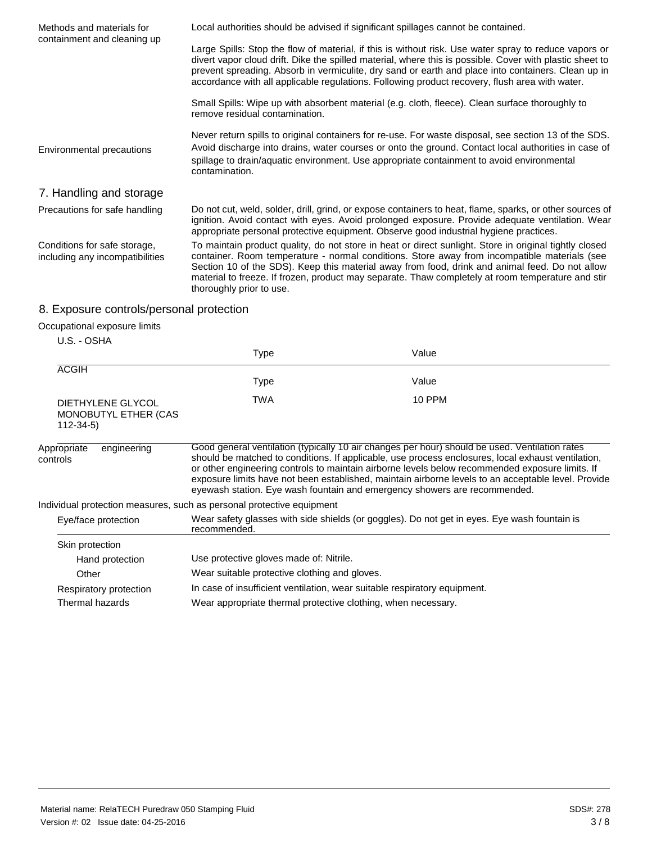| Methods and materials for<br>containment and cleaning up        | Local authorities should be advised if significant spillages cannot be contained.                                                                                                                                                                                                                                                                                                                                                         |
|-----------------------------------------------------------------|-------------------------------------------------------------------------------------------------------------------------------------------------------------------------------------------------------------------------------------------------------------------------------------------------------------------------------------------------------------------------------------------------------------------------------------------|
|                                                                 | Large Spills: Stop the flow of material, if this is without risk. Use water spray to reduce vapors or<br>divert vapor cloud drift. Dike the spilled material, where this is possible. Cover with plastic sheet to<br>prevent spreading. Absorb in vermiculite, dry sand or earth and place into containers. Clean up in<br>accordance with all applicable regulations. Following product recovery, flush area with water.                 |
|                                                                 | Small Spills: Wipe up with absorbent material (e.g. cloth, fleece). Clean surface thoroughly to<br>remove residual contamination.                                                                                                                                                                                                                                                                                                         |
| Environmental precautions                                       | Never return spills to original containers for re-use. For waste disposal, see section 13 of the SDS.<br>Avoid discharge into drains, water courses or onto the ground. Contact local authorities in case of<br>spillage to drain/aquatic environment. Use appropriate containment to avoid environmental<br>contamination.                                                                                                               |
| 7. Handling and storage                                         |                                                                                                                                                                                                                                                                                                                                                                                                                                           |
| Precautions for safe handling                                   | Do not cut, weld, solder, drill, grind, or expose containers to heat, flame, sparks, or other sources of<br>ignition. Avoid contact with eyes. Avoid prolonged exposure. Provide adequate ventilation. Wear<br>appropriate personal protective equipment. Observe good industrial hygiene practices.                                                                                                                                      |
| Conditions for safe storage,<br>including any incompatibilities | To maintain product quality, do not store in heat or direct sunlight. Store in original tightly closed<br>container. Room temperature - normal conditions. Store away from incompatible materials (see<br>Section 10 of the SDS). Keep this material away from food, drink and animal feed. Do not allow<br>material to freeze. If frozen, product may separate. Thaw completely at room temperature and stir<br>thoroughly prior to use. |
| 8. Exposure controls/personal protection                        |                                                                                                                                                                                                                                                                                                                                                                                                                                           |

## Occupational exposure limits

| U.S. - OSHA |  |
|-------------|--|

|                                                             | <b>Type</b>                                                           | Value                                                                                                                                                                                                                                                                                                                                                                                                                                                                                       |
|-------------------------------------------------------------|-----------------------------------------------------------------------|---------------------------------------------------------------------------------------------------------------------------------------------------------------------------------------------------------------------------------------------------------------------------------------------------------------------------------------------------------------------------------------------------------------------------------------------------------------------------------------------|
| <b>ACGIH</b>                                                |                                                                       |                                                                                                                                                                                                                                                                                                                                                                                                                                                                                             |
|                                                             | Type                                                                  | Value                                                                                                                                                                                                                                                                                                                                                                                                                                                                                       |
| DIETHYLENE GLYCOL<br>MONOBUTYL ETHER (CAS<br>$112 - 34 - 5$ | <b>TWA</b>                                                            | <b>10 PPM</b>                                                                                                                                                                                                                                                                                                                                                                                                                                                                               |
| Appropriate<br>engineering<br>controls                      |                                                                       | Good general ventilation (typically 10 air changes per hour) should be used. Ventilation rates<br>should be matched to conditions. If applicable, use process enclosures, local exhaust ventilation,<br>or other engineering controls to maintain airborne levels below recommended exposure limits. If<br>exposure limits have not been established, maintain airborne levels to an acceptable level. Provide<br>eyewash station. Eye wash fountain and emergency showers are recommended. |
|                                                             | Individual protection measures, such as personal protective equipment |                                                                                                                                                                                                                                                                                                                                                                                                                                                                                             |
| Eye/face protection                                         | recommended.                                                          | Wear safety glasses with side shields (or goggles). Do not get in eyes. Eye wash fountain is                                                                                                                                                                                                                                                                                                                                                                                                |
| Skin protection                                             |                                                                       |                                                                                                                                                                                                                                                                                                                                                                                                                                                                                             |
| Hand protection                                             | Use protective gloves made of: Nitrile.                               |                                                                                                                                                                                                                                                                                                                                                                                                                                                                                             |
| Other                                                       | Wear suitable protective clothing and gloves.                         |                                                                                                                                                                                                                                                                                                                                                                                                                                                                                             |
| Respiratory protection                                      |                                                                       | In case of insufficient ventilation, wear suitable respiratory equipment.                                                                                                                                                                                                                                                                                                                                                                                                                   |
| Thermal hazards                                             | Wear appropriate thermal protective clothing, when necessary.         |                                                                                                                                                                                                                                                                                                                                                                                                                                                                                             |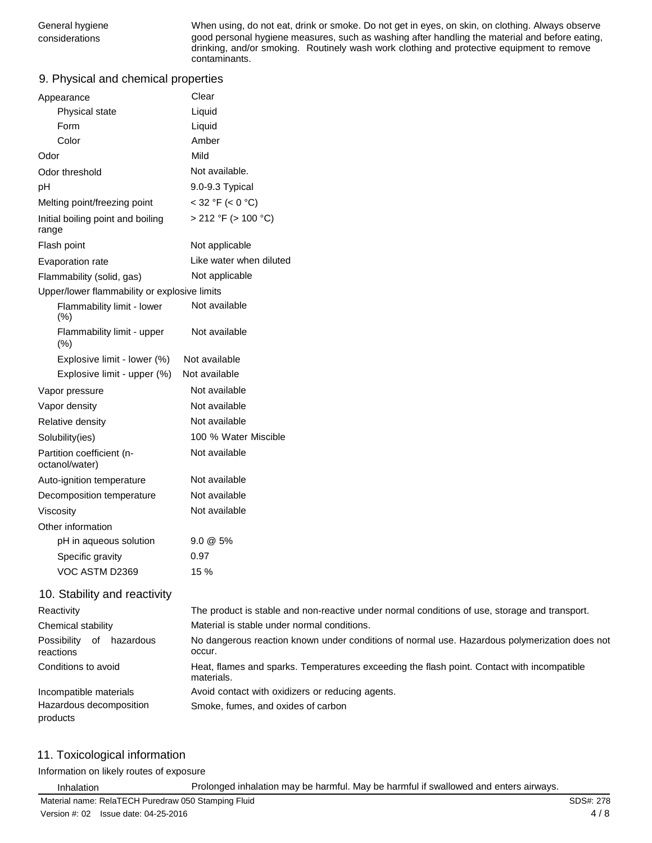General hygiene **When using, do not eat, drink or smoke**. Do not get in eyes, on skin, on clothing. Always observe considerations good personal hygiene measures, such as washing after handling the material and before eating, drinking, and/or smoking. Routinely wash work clothing and protective equipment to remove contaminants.

### 9. Physical and chemical properties

| Appearance                                   | Clear                                       |
|----------------------------------------------|---------------------------------------------|
| Physical state                               | Liquid                                      |
| Form                                         | Liquid                                      |
| Color                                        | Amber                                       |
| Odor                                         | Mild                                        |
| Odor threshold                               | Not available.                              |
| рH                                           | 9.0-9.3 Typical                             |
| Melting point/freezing point                 | $<$ 32 °F ( $<$ 0 °C)                       |
| Initial boiling point and boiling<br>range   | $> 212$ °F ( $> 100$ °C)                    |
| Flash point                                  | Not applicable                              |
| Evaporation rate                             | Like water when diluted                     |
| Flammability (solid, gas)                    | Not applicable                              |
| Upper/lower flammability or explosive limits |                                             |
| Flammability limit - lower<br>(%)            | Not available                               |
| Flammability limit - upper<br>(% )           | Not available                               |
| Explosive limit - lower (%)                  | Not available                               |
| Explosive limit - upper (%)                  | Not available                               |
| Vapor pressure                               | Not available                               |
| Vapor density                                | Not available                               |
| Relative density                             | Not available                               |
| Solubility(ies)                              | 100 % Water Miscible                        |
| Partition coefficient (n-<br>octanol/water)  | Not available                               |
| Auto-ignition temperature                    | Not available                               |
| Decomposition temperature                    | Not available                               |
| Viscosity                                    | Not available                               |
| Other information                            |                                             |
| pH in aqueous solution                       | $9.0 \& 5\%$                                |
| Specific gravity                             | 0.97                                        |
| VOC ASTM D2369                               | 15 %                                        |
| 10. Stability and reactivity                 |                                             |
| Reactivity                                   | The product is stable and non-reactive unde |

#### Reactivity Chemical stability Possibility of hazardous reactions Conditions to avoid Incompatible materials Hazardous decomposition products er normal conditions of use, storage and transport. Material is stable under normal conditions. No dangerous reaction known under conditions of normal use. Hazardous polymerization does not occur. Heat, flames and sparks. Temperatures exceeding the flash point. Contact with incompatible materials. Avoid contact with oxidizers or reducing agents. Smoke, fumes, and oxides of carbon

### 11. Toxicological information

Information on likely routes of exposure

Inhalation Prolonged inhalation may be harmful. May be harmful if swallowed and enters airways.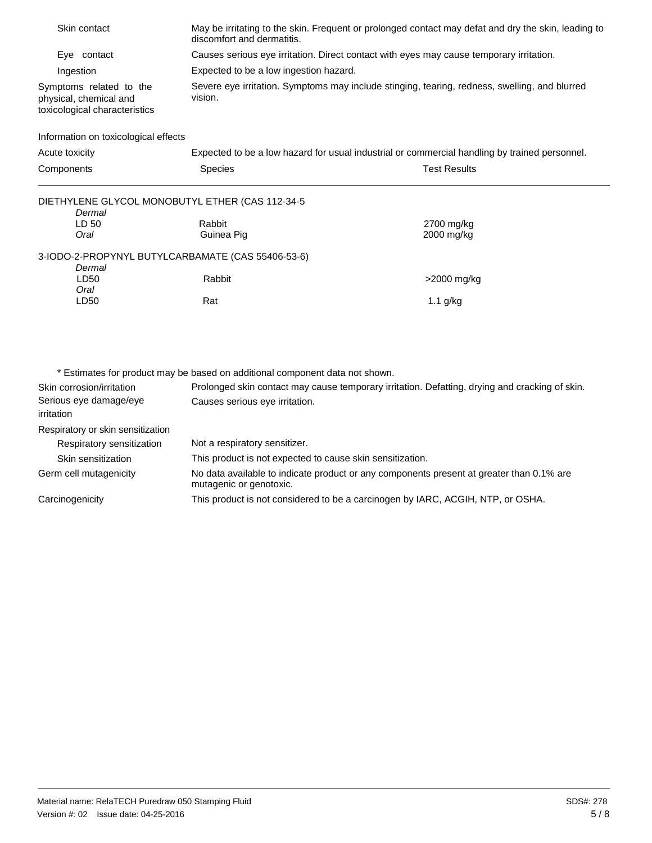| Skin contact                                                                       | discomfort and dermatitis.             | May be irritating to the skin. Frequent or prolonged contact may defat and dry the skin, leading to |
|------------------------------------------------------------------------------------|----------------------------------------|-----------------------------------------------------------------------------------------------------|
| Eye contact                                                                        |                                        | Causes serious eye irritation. Direct contact with eyes may cause temporary irritation.             |
| Ingestion                                                                          | Expected to be a low ingestion hazard. |                                                                                                     |
| Symptoms related to the<br>physical, chemical and<br>toxicological characteristics | vision.                                | Severe eye irritation. Symptoms may include stinging, tearing, redness, swelling, and blurred       |
| Information on toxicological effects                                               |                                        |                                                                                                     |
| Acute toxicity                                                                     |                                        | Expected to be a low hazard for usual industrial or commercial handling by trained personnel.       |
| Components                                                                         | <b>Species</b>                         | <b>Test Results</b>                                                                                 |
| DIETHYLENE GLYCOL MONOBUTYL ETHER (CAS 112-34-5<br>Dermal                          |                                        |                                                                                                     |
| LD 50                                                                              | Rabbit                                 | 2700 mg/kg                                                                                          |
| Oral                                                                               | Guinea Pig                             | 2000 mg/kg                                                                                          |
| 3-IODO-2-PROPYNYL BUTYLCARBAMATE (CAS 55406-53-6)<br>Dermal                        |                                        |                                                                                                     |
| LD50<br>Oral                                                                       | Rabbit                                 | >2000 mg/kg                                                                                         |
| LD50                                                                               | Rat                                    | $1.1$ g/kg                                                                                          |
|                                                                                    |                                        |                                                                                                     |
|                                                                                    |                                        |                                                                                                     |
|                                                                                    |                                        |                                                                                                     |
|                                                                                    |                                        |                                                                                                     |

\* Estimates for product may be based on additional component data not shown. Skin corrosion/irritation Serious eye damage/eye irritation Respiratory or skin sensitization Respiratory sensitization Skin sensitization Germ cell mutagenicity **Carcinogenicity** Prolonged skin contact may cause temporary irritation. Defatting, drying and cracking of skin. Causes serious eye irritation. Not a respiratory sensitizer. This product is not expected to cause skin sensitization. No data available to indicate product or any components present at greater than 0.1% are mutagenic or genotoxic. This product is not considered to be a carcinogen by IARC, ACGIH, NTP, or OSHA.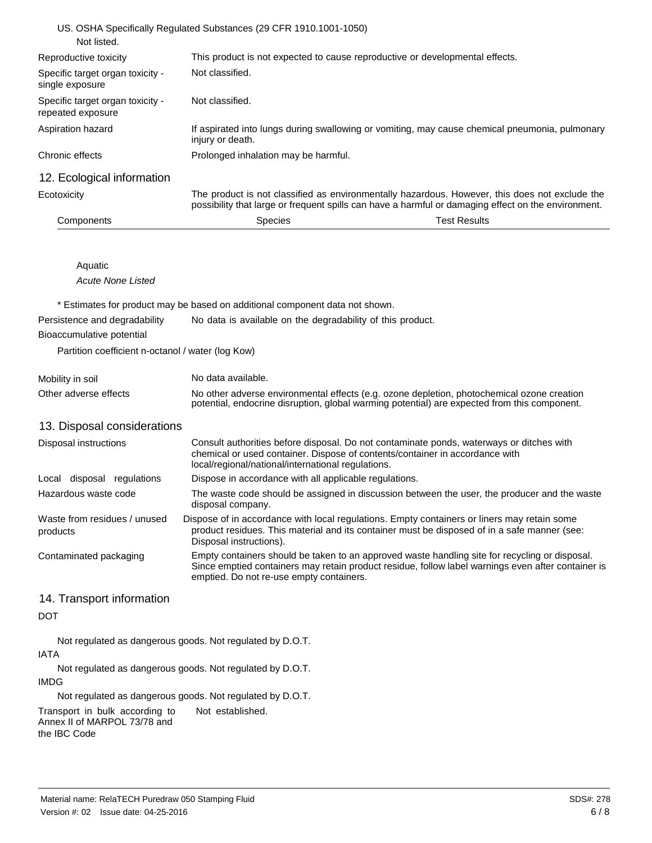| Not classified.                      |                                                                                                                                                                                                       |
|--------------------------------------|-------------------------------------------------------------------------------------------------------------------------------------------------------------------------------------------------------|
| Not classified.                      |                                                                                                                                                                                                       |
| injury or death.                     | If aspirated into lungs during swallowing or vomiting, may cause chemical pneumonia, pulmonary                                                                                                        |
| Prolonged inhalation may be harmful. |                                                                                                                                                                                                       |
|                                      |                                                                                                                                                                                                       |
|                                      | The product is not classified as environmentally hazardous. However, this does not exclude the<br>possibility that large or frequent spills can have a harmful or damaging effect on the environment. |
| Species                              | <b>Test Results</b>                                                                                                                                                                                   |
|                                      | US. OSHA Specifically Regulated Substances (29 CFR 1910.1001-1050)<br>This product is not expected to cause reproductive or developmental effects.                                                    |

| Aquatic           |  |
|-------------------|--|
| Acute None Listed |  |

\* Estimates for product may be based on additional component data not shown.

| Persistence and degradability                     | No data is available on the degradability of this product. |
|---------------------------------------------------|------------------------------------------------------------|
| Bioaccumulative potential                         |                                                            |
| Partition coefficient n-octanol / water (log Kow) |                                                            |

| Mobility in soil      | No data available.                                                                                                                                                                         |
|-----------------------|--------------------------------------------------------------------------------------------------------------------------------------------------------------------------------------------|
| Other adverse effects | No other adverse environmental effects (e.g. ozone depletion, photochemical ozone creation<br>potential, endocrine disruption, global warming potential) are expected from this component. |

13. Disposal considerations

| Disposal instructions                    | Consult authorities before disposal. Do not contaminate ponds, waterways or ditches with<br>chemical or used container. Dispose of contents/container in accordance with<br>local/regional/national/international regulations.                   |  |
|------------------------------------------|--------------------------------------------------------------------------------------------------------------------------------------------------------------------------------------------------------------------------------------------------|--|
| regulations<br>Local disposal            | Dispose in accordance with all applicable regulations.                                                                                                                                                                                           |  |
| Hazardous waste code                     | The waste code should be assigned in discussion between the user, the producer and the waste<br>disposal company.                                                                                                                                |  |
| Waste from residues / unused<br>products | Dispose of in accordance with local regulations. Empty containers or liners may retain some<br>product residues. This material and its container must be disposed of in a safe manner (see:<br>Disposal instructions).                           |  |
| Contaminated packaging                   | Empty containers should be taken to an approved waste handling site for recycling or disposal.<br>Since emptied containers may retain product residue, follow label warnings even after container is<br>emptied. Do not re-use empty containers. |  |

### 14. Transport information

### DOT

Not regulated as dangerous goods. Not regulated by D.O.T. IATA

Not regulated as dangerous goods. Not regulated by D.O.T. IMDG

Not regulated as dangerous goods. Not regulated by D.O.T.

Transport in bulk according to Not established. Annex II of MARPOL 73/78 and the IBC Code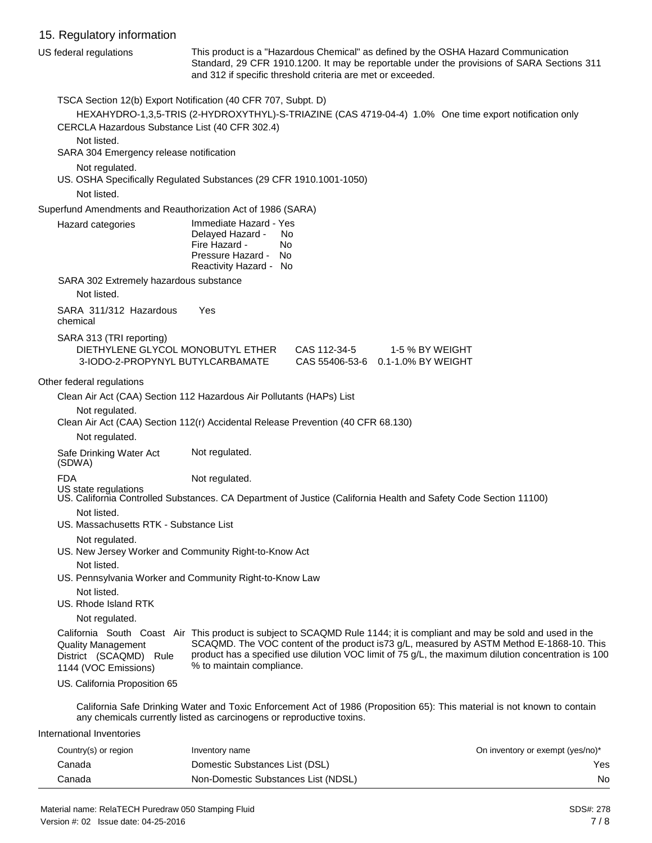### 15. Regulatory information

|            | <b>10. Regulatory information</b>                                                                               |                                                                                                               |                                                                                                                                                                                                                                                                                                                            |                                  |
|------------|-----------------------------------------------------------------------------------------------------------------|---------------------------------------------------------------------------------------------------------------|----------------------------------------------------------------------------------------------------------------------------------------------------------------------------------------------------------------------------------------------------------------------------------------------------------------------------|----------------------------------|
|            | US federal regulations                                                                                          |                                                                                                               | This product is a "Hazardous Chemical" as defined by the OSHA Hazard Communication<br>Standard, 29 CFR 1910.1200. It may be reportable under the provisions of SARA Sections 311<br>and 312 if specific threshold criteria are met or exceeded.                                                                            |                                  |
|            | TSCA Section 12(b) Export Notification (40 CFR 707, Subpt. D)<br>CERCLA Hazardous Substance List (40 CFR 302.4) |                                                                                                               | HEXAHYDRO-1,3,5-TRIS (2-HYDROXYTHYL)-S-TRIAZINE (CAS 4719-04-4) 1.0% One time export notification only                                                                                                                                                                                                                     |                                  |
|            | Not listed.<br>SARA 304 Emergency release notification                                                          |                                                                                                               |                                                                                                                                                                                                                                                                                                                            |                                  |
|            | Not regulated.<br>US. OSHA Specifically Regulated Substances (29 CFR 1910.1001-1050)                            |                                                                                                               |                                                                                                                                                                                                                                                                                                                            |                                  |
|            | Not listed.                                                                                                     |                                                                                                               |                                                                                                                                                                                                                                                                                                                            |                                  |
|            | Superfund Amendments and Reauthorization Act of 1986 (SARA)                                                     |                                                                                                               |                                                                                                                                                                                                                                                                                                                            |                                  |
|            | Hazard categories                                                                                               | Immediate Hazard - Yes<br>Delayed Hazard -<br>Fire Hazard -<br>Pressure Hazard - No<br>Reactivity Hazard - No | No.<br>No.                                                                                                                                                                                                                                                                                                                 |                                  |
|            | SARA 302 Extremely hazardous substance<br>Not listed.                                                           |                                                                                                               |                                                                                                                                                                                                                                                                                                                            |                                  |
| chemical   | SARA 311/312 Hazardous                                                                                          | Yes                                                                                                           |                                                                                                                                                                                                                                                                                                                            |                                  |
|            | SARA 313 (TRI reporting)<br>DIETHYLENE GLYCOL MONOBUTYL ETHER<br>3-IODO-2-PROPYNYL BUTYLCARBAMATE               |                                                                                                               | CAS 112-34-5 1-5 % BY WEIGHT<br>CAS 55406-53-6 0.1-1.0% BY WEIGHT                                                                                                                                                                                                                                                          |                                  |
|            | Other federal regulations                                                                                       |                                                                                                               |                                                                                                                                                                                                                                                                                                                            |                                  |
|            | Clean Air Act (CAA) Section 112 Hazardous Air Pollutants (HAPs) List                                            |                                                                                                               |                                                                                                                                                                                                                                                                                                                            |                                  |
|            | Not regulated.                                                                                                  |                                                                                                               | Clean Air Act (CAA) Section 112(r) Accidental Release Prevention (40 CFR 68.130)                                                                                                                                                                                                                                           |                                  |
|            | Not regulated.                                                                                                  |                                                                                                               |                                                                                                                                                                                                                                                                                                                            |                                  |
| (SDWA)     | Safe Drinking Water Act                                                                                         | Not regulated.                                                                                                |                                                                                                                                                                                                                                                                                                                            |                                  |
| <b>FDA</b> |                                                                                                                 | Not regulated.                                                                                                | US state regulations<br>US. California Controlled Substances. CA Department of Justice (California Health and Safety Code Section 11100)                                                                                                                                                                                   |                                  |
|            | Not listed.<br>US. Massachusetts RTK - Substance List                                                           |                                                                                                               |                                                                                                                                                                                                                                                                                                                            |                                  |
|            | Not regulated.                                                                                                  |                                                                                                               |                                                                                                                                                                                                                                                                                                                            |                                  |
|            | US. New Jersey Worker and Community Right-to-Know Act<br>Not listed.                                            |                                                                                                               |                                                                                                                                                                                                                                                                                                                            |                                  |
|            | US. Pennsylvania Worker and Community Right-to-Know Law                                                         |                                                                                                               |                                                                                                                                                                                                                                                                                                                            |                                  |
|            | Not listed.<br>US. Rhode Island RTK                                                                             |                                                                                                               |                                                                                                                                                                                                                                                                                                                            |                                  |
|            | Not regulated.                                                                                                  |                                                                                                               |                                                                                                                                                                                                                                                                                                                            |                                  |
|            | <b>Quality Management</b><br>District (SCAQMD) Rule<br>1144 (VOC Emissions)                                     | % to maintain compliance.                                                                                     | California South Coast Air This product is subject to SCAQMD Rule 1144; it is compliant and may be sold and used in the<br>SCAQMD. The VOC content of the product is73 g/L, measured by ASTM Method E-1868-10. This<br>product has a specified use dilution VOC limit of 75 g/L, the maximum dilution concentration is 100 |                                  |
|            | US. California Proposition 65                                                                                   |                                                                                                               |                                                                                                                                                                                                                                                                                                                            |                                  |
|            | any chemicals currently listed as carcinogens or reproductive toxins.                                           |                                                                                                               | California Safe Drinking Water and Toxic Enforcement Act of 1986 (Proposition 65): This material is not known to contain                                                                                                                                                                                                   |                                  |
|            | International Inventories                                                                                       |                                                                                                               |                                                                                                                                                                                                                                                                                                                            |                                  |
|            | Country(c) or region                                                                                            | Inventory name                                                                                                |                                                                                                                                                                                                                                                                                                                            | On inventory or exempt (yes/no)* |

| Country(s) or region | Inventory name                      | On inventory or exempt (yes/no)* |
|----------------------|-------------------------------------|----------------------------------|
| Canada               | Domestic Substances List (DSL)      | Yes                              |
| Canada               | Non-Domestic Substances List (NDSL) | No                               |